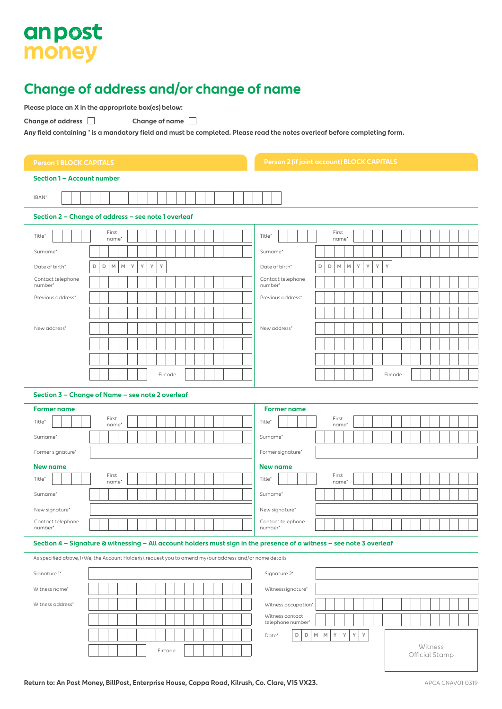# anpost money

### **Change of address and/or change of name**

**Please place an X in the appropriate box(es) below:**

**Change of address Change of name**

**Any field containing \* is a mandatory field and must be completed. Please read the notes overleaf before completing form.**

| <b>Person 1 BLOCK CAPITALS</b>                                                                                        | <b>Person 2 (if joint account) BLOCK CAPITALS</b>                                    |  |  |  |
|-----------------------------------------------------------------------------------------------------------------------|--------------------------------------------------------------------------------------|--|--|--|
| Section 1 - Account number                                                                                            |                                                                                      |  |  |  |
| IBAN*                                                                                                                 |                                                                                      |  |  |  |
| Section 2 - Change of address - see note 1 overleaf                                                                   |                                                                                      |  |  |  |
| First<br>Title*                                                                                                       | First<br>Title*                                                                      |  |  |  |
| name*<br>Surname*                                                                                                     | name*<br>Surname*                                                                    |  |  |  |
| Υ<br>Y<br>$\mathsf D$<br>D<br>$\mathbb M$<br>$\mathbb M$<br>Υ<br>Υ<br>Date of birth*                                  | Y<br>Υ<br>$\mathsf D$<br>D<br>$\mathbb M$<br>$\mathbb M$<br>Y<br>Υ<br>Date of birth* |  |  |  |
| Contact telephone                                                                                                     | Contact telephone                                                                    |  |  |  |
| number*<br>Previous address*                                                                                          | number*<br>Previous address*                                                         |  |  |  |
|                                                                                                                       |                                                                                      |  |  |  |
| New address*                                                                                                          | New address*                                                                         |  |  |  |
|                                                                                                                       |                                                                                      |  |  |  |
|                                                                                                                       |                                                                                      |  |  |  |
| Eircode                                                                                                               | Eircode                                                                              |  |  |  |
|                                                                                                                       |                                                                                      |  |  |  |
| Section 3 - Change of Name - see note 2 overleaf                                                                      |                                                                                      |  |  |  |
| <b>Former name</b><br>First                                                                                           | <b>Former name</b><br>First                                                          |  |  |  |
| Title*<br>name*                                                                                                       | Title*<br>name*                                                                      |  |  |  |
| Surname*                                                                                                              | Surname*                                                                             |  |  |  |
| Former signature*                                                                                                     | Former signature*                                                                    |  |  |  |
| <b>New name</b><br>First<br>Title*<br>name*                                                                           | <b>New name</b><br>First<br>Title*<br>name*                                          |  |  |  |
| Surname*                                                                                                              | Surname*                                                                             |  |  |  |
| New signature*                                                                                                        | New signature*                                                                       |  |  |  |
| Contact telephone<br>number                                                                                           | Contact telephone<br>number                                                          |  |  |  |
| Section 4 - Signature & witnessing - All account holders must sign in the presence of a witness - see note 3 overleaf |                                                                                      |  |  |  |
| As specified above, I/We, the Account Holder(s), request you to amend my/our address and/or name details              |                                                                                      |  |  |  |
| Signature 1*                                                                                                          | Signature 2*                                                                         |  |  |  |
| Witness name*                                                                                                         | Witnesssignature*                                                                    |  |  |  |
| Witness address*                                                                                                      | Witness occupation*                                                                  |  |  |  |
|                                                                                                                       | Witness contact<br>telephone number*                                                 |  |  |  |
|                                                                                                                       | γ<br>Υ<br>D<br>$\mathsf D$<br>$\mathbb M$<br>$\mathbb M$<br>γ<br>Υ<br>Date*          |  |  |  |
| Eircode                                                                                                               | Witness<br>Official Stamp                                                            |  |  |  |